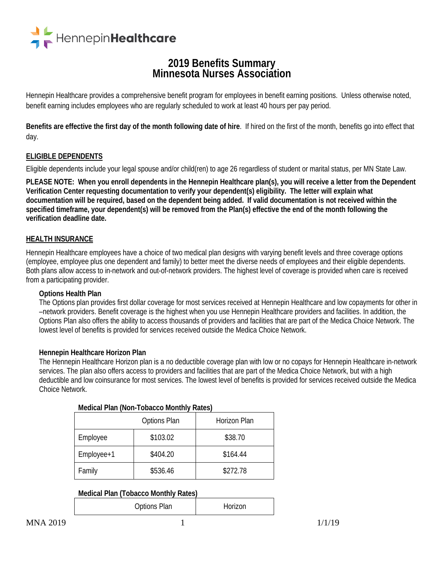

# **<sup>2019</sup> Benefits Summary Minnesota Nurses Association**

Hennepin Healthcare provides a comprehensive benefit program for employees in benefit earning positions. Unless otherwise noted, benefit earning includes employees who are regularly scheduled to work at least 40 hours per pay period.

**Benefits are effective the first day of the month following date of hire**. If hired on the first of the month, benefits go into effect that day.

# **ELIGIBLE DEPENDENTS**

Eligible dependents include your legal spouse and/or child(ren) to age 26 regardless of student or marital status, per MN State Law.

**PLEASE NOTE: When you enroll dependents in the Hennepin Healthcare plan(s), you will receive a letter from the Dependent Verification Center requesting documentation to verify your dependent(s) eligibility. The letter will explain what documentation will be required, based on the dependent being added. If valid documentation is not received within the specified timeframe, your dependent(s) will be removed from the Plan(s) effective the end of the month following the verification deadline date.**

#### **HEALTH INSURANCE**

Hennepin Healthcare employees have a choice of two medical plan designs with varying benefit levels and three coverage options (employee, employee plus one dependent and family) to better meet the diverse needs of employees and their eligible dependents. Both plans allow access to in-network and out-of-network providers. The highest level of coverage is provided when care is received from a participating provider.

#### **Options Health Plan**

The Options plan provides first dollar coverage for most services received at Hennepin Healthcare and low copayments for other in –network providers. Benefit coverage is the highest when you use Hennepin Healthcare providers and facilities. In addition, the Options Plan also offers the ability to access thousands of providers and facilities that are part of the Medica Choice Network. The lowest level of benefits is provided for services received outside the Medica Choice Network.

#### **Hennepin Healthcare Horizon Plan**

The Hennepin Healthcare Horizon plan is a no deductible coverage plan with low or no copays for Hennepin Healthcare in-network services. The plan also offers access to providers and facilities that are part of the Medica Choice Network, but with a high deductible and low coinsurance for most services. The lowest level of benefits is provided for services received outside the Medica Choice Network.

| <b>MCGICALL RILL (NOLL-TODACCO MOTILITY</b><br>$n$ a $n \rightarrow n$ |          |              |  |  |
|------------------------------------------------------------------------|----------|--------------|--|--|
| Options Plan                                                           |          | Horizon Plan |  |  |
| Employee                                                               | \$103.02 | \$38.70      |  |  |
| Employee+1                                                             | \$404.20 | \$164.44     |  |  |
| Family                                                                 | \$536.46 | \$272.78     |  |  |

#### **Medical Plan (Non-Tobacco Monthly Rates)**

# **Medical Plan (Tobacco Monthly Rates)**

| <b>Options Plan</b> | Horizon |
|---------------------|---------|
|                     |         |

 $MNA 2019$  1/1/19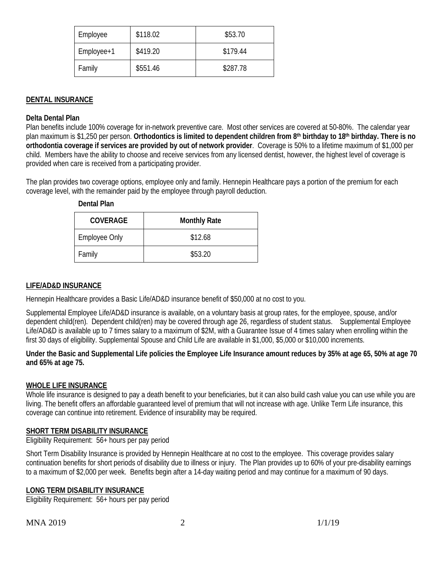| Employee   | \$118.02 | \$53.70  |
|------------|----------|----------|
| Employee+1 | \$419.20 | \$179.44 |
| Family     | \$551.46 | \$287.78 |

# **DENTAL INSURANCE**

#### **Delta Dental Plan**

Plan benefits include 100% coverage for in-network preventive care. Most other services are covered at 50-80%. The calendar year plan maximum is \$1,250 per person. **Orthodontics is limited to dependent children from 8th birthday to 18th birthday. There is no orthodontia coverage if services are provided by out of network provider**. Coverage is 50% to a lifetime maximum of \$1,000 per child. Members have the ability to choose and receive services from any licensed dentist, however, the highest level of coverage is provided when care is received from a participating provider.

The plan provides two coverage options, employee only and family. Hennepin Healthcare pays a portion of the premium for each coverage level, with the remainder paid by the employee through payroll deduction.

| <b>COVERAGE</b>      | <b>Monthly Rate</b> |  |
|----------------------|---------------------|--|
| <b>Employee Only</b> | \$12.68             |  |
| Family               | \$53.20             |  |

#### **Dental Plan**

#### **LIFE/AD&D INSURANCE**

Hennepin Healthcare provides a Basic Life/AD&D insurance benefit of \$50,000 at no cost to you.

Supplemental Employee Life/AD&D insurance is available, on a voluntary basis at group rates, for the employee, spouse, and/or dependent child(ren). Dependent child(ren) may be covered through age 26, regardless of student status. Supplemental Employee Life/AD&D is available up to 7 times salary to a maximum of \$2M, with a Guarantee Issue of 4 times salary when enrolling within the first 30 days of eligibility. Supplemental Spouse and Child Life are available in \$1,000, \$5,000 or \$10,000 increments.

#### **Under the Basic and Supplemental Life policies the Employee Life Insurance amount reduces by 35% at age 65, 50% at age 70 and 65% at age 75.**

# **WHOLE LIFE INSURANCE**

Whole life insurance is designed to pay a death benefit to your beneficiaries, but it can also build cash value you can use while you are living. The benefit offers an affordable guaranteed level of premium that will not increase with age. Unlike Term Life insurance, this coverage can continue into retirement. Evidence of insurability may be required.

#### **SHORT TERM DISABILITY INSURANCE**

Eligibility Requirement: 56+ hours per pay period

Short Term Disability Insurance is provided by Hennepin Healthcare at no cost to the employee. This coverage provides salary continuation benefits for short periods of disability due to illness or injury. The Plan provides up to 60% of your pre-disability earnings to a maximum of \$2,000 per week. Benefits begin after a 14-day waiting period and may continue for a maximum of 90 days.

# **LONG TERM DISABILITY INSURANCE**

Eligibility Requirement: 56+ hours per pay period

 $MNA 2019$  2 1/1/19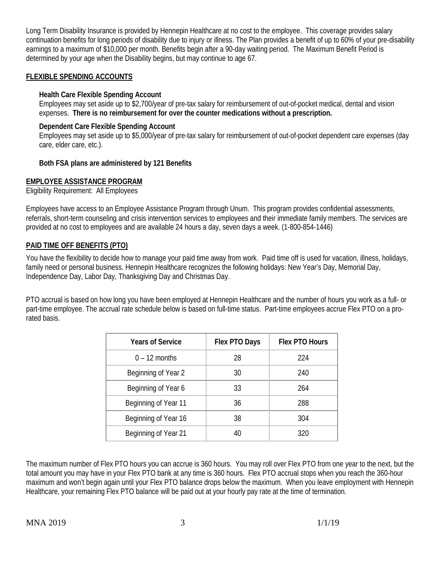Long Term Disability Insurance is provided by Hennepin Healthcare at no cost to the employee. This coverage provides salary continuation benefits for long periods of disability due to injury or illness. The Plan provides a benefit of up to 60% of your pre-disability earnings to a maximum of \$10,000 per month. Benefits begin after a 90-day waiting period. The Maximum Benefit Period is determined by your age when the Disability begins, but may continue to age 67.

## **FLEXIBLE SPENDING ACCOUNTS**

#### **Health Care Flexible Spending Account**

Employees may set aside up to \$2,700/year of pre-tax salary for reimbursement of out-of-pocket medical, dental and vision expenses. **There is no reimbursement for over the counter medications without a prescription.**

#### **Dependent Care Flexible Spending Account**

Employees may set aside up to \$5,000/year of pre-tax salary for reimbursement of out-of-pocket dependent care expenses (day care, elder care, etc.).

#### **Both FSA plans are administered by 121 Benefits**

#### **EMPLOYEE ASSISTANCE PROGRAM**

Eligibility Requirement: All Employees

Employees have access to an Employee Assistance Program through Unum. This program provides confidential assessments, referrals, short-term counseling and crisis intervention services to employees and their immediate family members. The services are provided at no cost to employees and are available 24 hours a day, seven days a week. (1-800-854-1446)

#### **PAID TIME OFF BENEFITS (PTO)**

You have the flexibility to decide how to manage your paid time away from work. Paid time off is used for vacation, illness, holidays, family need or personal business. Hennepin Healthcare recognizes the following holidays: New Year's Day, Memorial Day, Independence Day, Labor Day, Thanksgiving Day and Christmas Day.

PTO accrual is based on how long you have been employed at Hennepin Healthcare and the number of hours you work as a full- or part-time employee. The accrual rate schedule below is based on full-time status. Part-time employees accrue Flex PTO on a prorated basis.

| <b>Years of Service</b> | Flex PTO Days | Flex PTO Hours |
|-------------------------|---------------|----------------|
| $0 - 12$ months         | 28            | 224            |
| Beginning of Year 2     | 30            | 240            |
| Beginning of Year 6     | 33            | 264            |
| Beginning of Year 11    | 36            | 288            |
| Beginning of Year 16    | 38            | 304            |
| Beginning of Year 21    | 40            | 320            |

The maximum number of Flex PTO hours you can accrue is 360 hours. You may roll over Flex PTO from one year to the next, but the total amount you may have in your Flex PTO bank at any time is 360 hours. Flex PTO accrual stops when you reach the 360-hour maximum and won't begin again until your Flex PTO balance drops below the maximum. When you leave employment with Hennepin Healthcare, your remaining Flex PTO balance will be paid out at your hourly pay rate at the time of termination.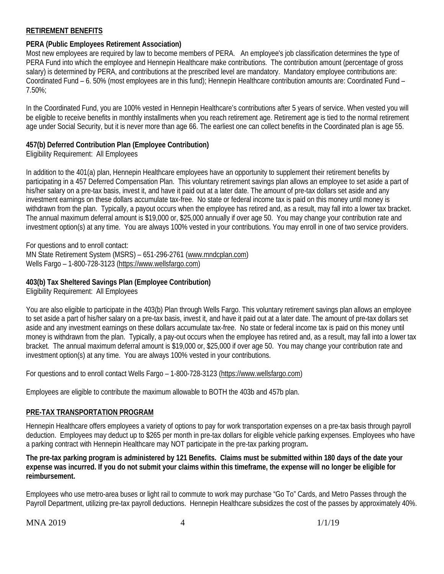# **RETIREMENT BENEFITS**

# **PERA (Public Employees Retirement Association)**

Most new employees are required by law to become members of PERA. An employee's job classification determines the type of PERA Fund into which the employee and Hennepin Healthcare make contributions. The contribution amount (percentage of gross salary) is determined by PERA, and contributions at the prescribed level are mandatory. Mandatory employee contributions are: Coordinated Fund – 6. 50% (most employees are in this fund); Hennepin Healthcare contribution amounts are: Coordinated Fund – 7.50%;

In the Coordinated Fund, you are 100% vested in Hennepin Healthcare's contributions after 5 years of service. When vested you will be eligible to receive benefits in monthly installments when you reach retirement age. Retirement age is tied to the normal retirement age under Social Security, but it is never more than age 66. The earliest one can collect benefits in the Coordinated plan is age 55.

# **457(b) Deferred Contribution Plan (Employee Contribution)**

Eligibility Requirement: All Employees

In addition to the 401(a) plan, Hennepin Healthcare employees have an opportunity to supplement their retirement benefits by participating in a 457 Deferred Compensation Plan. This voluntary retirement savings plan allows an employee to set aside a part of his/her salary on a pre-tax basis, invest it, and have it paid out at a later date. The amount of pre-tax dollars set aside and any investment earnings on these dollars accumulate tax-free. No state or federal income tax is paid on this money until money is withdrawn from the plan. Typically, a payout occurs when the employee has retired and, as a result, may fall into a lower tax bracket. The annual maximum deferral amount is \$19,000 or, \$25,000 annually if over age 50. You may change your contribution rate and investment option(s) at any time. You are always 100% vested in your contributions. You may enroll in one of two service providers.

For questions and to enroll contact: MN State Retirement System (MSRS) – 651-296-2761 [\(www.mndcplan.com\)](http://www.mndcplan.com/) Wells Fargo – 1-800-728-3123 [\(https://www.wellsfargo.com\)](https://www.wellsfargo.com/)

# **403(b) Tax Sheltered Savings Plan (Employee Contribution)**

Eligibility Requirement: All Employees

You are also eligible to participate in the 403(b) Plan through Wells Fargo. This voluntary retirement savings plan allows an employee to set aside a part of his/her salary on a pre-tax basis, invest it, and have it paid out at a later date. The amount of pre-tax dollars set aside and any investment earnings on these dollars accumulate tax-free. No state or federal income tax is paid on this money until money is withdrawn from the plan. Typically, a pay-out occurs when the employee has retired and, as a result, may fall into a lower tax bracket. The annual maximum deferral amount is \$19,000 or, \$25,000 if over age 50. You may change your contribution rate and investment option(s) at any time. You are always 100% vested in your contributions.

For questions and to enroll contact Wells Fargo – 1-800-728-3123 [\(https://www.wellsfargo.com\)](https://www.wellsfargo.com/)

Employees are eligible to contribute the maximum allowable to BOTH the 403b and 457b plan.

# **PRE-TAX TRANSPORTATION PROGRAM**

Hennepin Healthcare offers employees a variety of options to pay for work transportation expenses on a pre-tax basis through payroll deduction. Employees may deduct up to \$265 per month in pre-tax dollars for eligible vehicle parking expenses. Employees who have a parking contract with Hennepin Healthcare may NOT participate in the pre-tax parking program**.** 

**The pre-tax parking program is administered by 121 Benefits. Claims must be submitted within 180 days of the date your expense was incurred. If you do not submit your claims within this timeframe, the expense will no longer be eligible for reimbursement.**

Employees who use metro-area buses or light rail to commute to work may purchase "Go To" Cards, and Metro Passes through the Payroll Department, utilizing pre-tax payroll deductions. Hennepin Healthcare subsidizes the cost of the passes by approximately 40%.